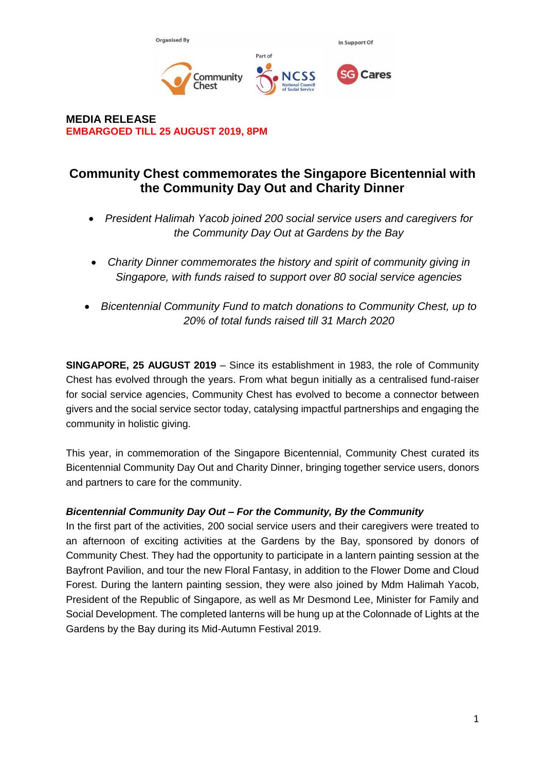

**MEDIA RELEASE EMBARGOED TILL 25 AUGUST 2019, 8PM**

# **Community Chest commemorates the Singapore Bicentennial with the Community Day Out and Charity Dinner**

- *President Halimah Yacob joined 200 social service users and caregivers for the Community Day Out at Gardens by the Bay*
- *Charity Dinner commemorates the history and spirit of community giving in Singapore, with funds raised to support over 80 social service agencies*
- *Bicentennial Community Fund to match donations to Community Chest, up to 20% of total funds raised till 31 March 2020*

**SINGAPORE, 25 AUGUST 2019** – Since its establishment in 1983, the role of Community Chest has evolved through the years. From what begun initially as a centralised fund-raiser for social service agencies, Community Chest has evolved to become a connector between givers and the social service sector today, catalysing impactful partnerships and engaging the community in holistic giving.

This year, in commemoration of the Singapore Bicentennial, Community Chest curated its Bicentennial Community Day Out and Charity Dinner, bringing together service users, donors and partners to care for the community.

## *Bicentennial Community Day Out – For the Community, By the Community*

In the first part of the activities, 200 social service users and their caregivers were treated to an afternoon of exciting activities at the Gardens by the Bay, sponsored by donors of Community Chest. They had the opportunity to participate in a lantern painting session at the Bayfront Pavilion, and tour the new Floral Fantasy, in addition to the Flower Dome and Cloud Forest. During the lantern painting session, they were also joined by Mdm Halimah Yacob, President of the Republic of Singapore, as well as Mr Desmond Lee, Minister for Family and Social Development. The completed lanterns will be hung up at the Colonnade of Lights at the Gardens by the Bay during its Mid-Autumn Festival 2019.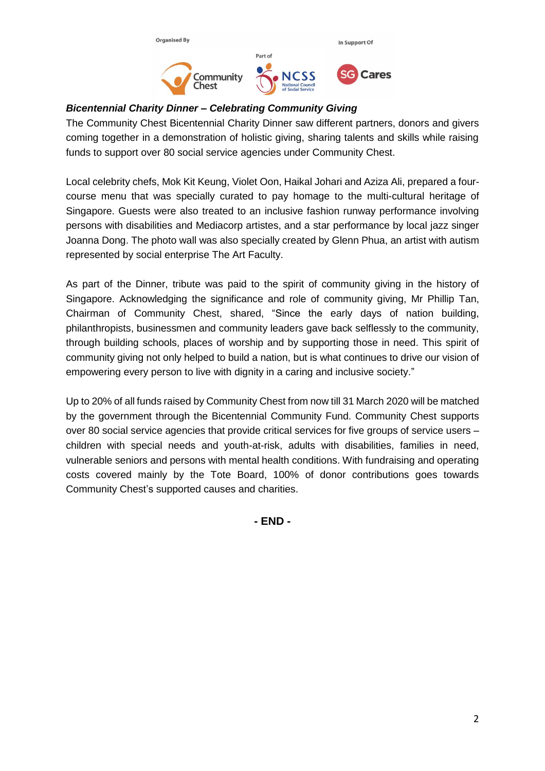

# *Bicentennial Charity Dinner – Celebrating Community Giving*

The Community Chest Bicentennial Charity Dinner saw different partners, donors and givers coming together in a demonstration of holistic giving, sharing talents and skills while raising funds to support over 80 social service agencies under Community Chest.

Local celebrity chefs, Mok Kit Keung, Violet Oon, Haikal Johari and Aziza Ali, prepared a fourcourse menu that was specially curated to pay homage to the multi-cultural heritage of Singapore. Guests were also treated to an inclusive fashion runway performance involving persons with disabilities and Mediacorp artistes, and a star performance by local jazz singer Joanna Dong. The photo wall was also specially created by Glenn Phua, an artist with autism represented by social enterprise The Art Faculty.

As part of the Dinner, tribute was paid to the spirit of community giving in the history of Singapore. Acknowledging the significance and role of community giving, Mr Phillip Tan, Chairman of Community Chest, shared, "Since the early days of nation building, philanthropists, businessmen and community leaders gave back selflessly to the community, through building schools, places of worship and by supporting those in need. This spirit of community giving not only helped to build a nation, but is what continues to drive our vision of empowering every person to live with dignity in a caring and inclusive society."

Up to 20% of all funds raised by Community Chest from now till 31 March 2020 will be matched by the government through the Bicentennial Community Fund. Community Chest supports over 80 social service agencies that provide critical services for five groups of service users – children with special needs and youth-at-risk, adults with disabilities, families in need, vulnerable seniors and persons with mental health conditions. With fundraising and operating costs covered mainly by the Tote Board, 100% of donor contributions goes towards Community Chest's supported causes and charities.

**- END -**